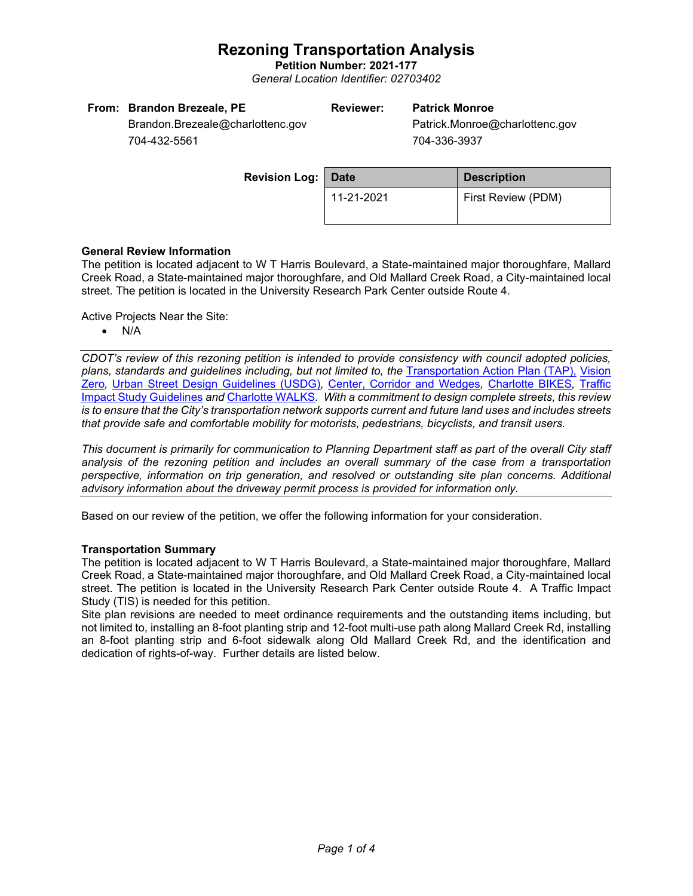**Petition Number: 2021-177** *General Location Identifier: 02703402*

| From: Brandon Brezeale, PE       | <b>Reviewer:</b> | <b>Patrick Monroe</b>          |
|----------------------------------|------------------|--------------------------------|
| Brandon.Brezeale@charlottenc.gov |                  | Patrick.Monroe@charlottenc.gov |

704-432-5561

704-336-3937

| <b>Revision Log: Date</b> |            | <b>Description</b>        |  |
|---------------------------|------------|---------------------------|--|
|                           | 11-21-2021 | <b>First Review (PDM)</b> |  |

## **General Review Information**

The petition is located adjacent to W T Harris Boulevard, a State-maintained major thoroughfare, Mallard Creek Road, a State-maintained major thoroughfare, and Old Mallard Creek Road, a City-maintained local street. The petition is located in the University Research Park Center outside Route 4.

Active Projects Near the Site:

• N/A

*CDOT's review of this rezoning petition is intended to provide consistency with council adopted policies, plans, standards and guidelines including, but not limited to, the* [Transportation Action Plan \(TAP\),](https://charlottenc.gov/Transportation/Programs/Pages/TransportationActionPlan.aspx) [Vision](https://charlottenc.gov/VisionZero/Pages/VisionZero.aspx)  [Zero](https://charlottenc.gov/VisionZero/Pages/VisionZero.aspx)*,* [Urban Street Design Guidelines \(USDG\)](https://charlottenc.gov/Transportation/PlansProjects/Documents/USDG%20Full%20Document.pdf)*,* [Center, Corridor and Wedges](http://ww.charmeck.org/Planning/Land%20Use%20Planning/CentersCorridorsWedges/CentersCorridorsWedges(Adopted).pdf)*,* [Charlotte BIKES](https://charlottenc.gov/Transportation/Programs/Pages/Bicycle.aspx)*,* [Traffic](https://charlottenc.gov/Transportation/Permits/Documents/TISProcessandGuildlines.pdf)  [Impact Study Guidelines](https://charlottenc.gov/Transportation/Permits/Documents/TISProcessandGuildlines.pdf) *and* [Charlotte WALKS](https://charlottenc.gov/Transportation/Programs/Pages/CharlotteWalks.aspx)*. With a commitment to design complete streets, this review is to ensure that the City's transportation network supports current and future land uses and includes streets that provide safe and comfortable mobility for motorists, pedestrians, bicyclists, and transit users.*

*This document is primarily for communication to Planning Department staff as part of the overall City staff analysis of the rezoning petition and includes an overall summary of the case from a transportation perspective, information on trip generation, and resolved or outstanding site plan concerns. Additional advisory information about the driveway permit process is provided for information only.*

Based on our review of the petition, we offer the following information for your consideration.

## **Transportation Summary**

The petition is located adjacent to W T Harris Boulevard, a State-maintained major thoroughfare, Mallard Creek Road, a State-maintained major thoroughfare, and Old Mallard Creek Road, a City-maintained local street. The petition is located in the University Research Park Center outside Route 4. A Traffic Impact Study (TIS) is needed for this petition.

Site plan revisions are needed to meet ordinance requirements and the outstanding items including, but not limited to, installing an 8-foot planting strip and 12-foot multi-use path along Mallard Creek Rd, installing an 8-foot planting strip and 6-foot sidewalk along Old Mallard Creek Rd, and the identification and dedication of rights-of-way. Further details are listed below.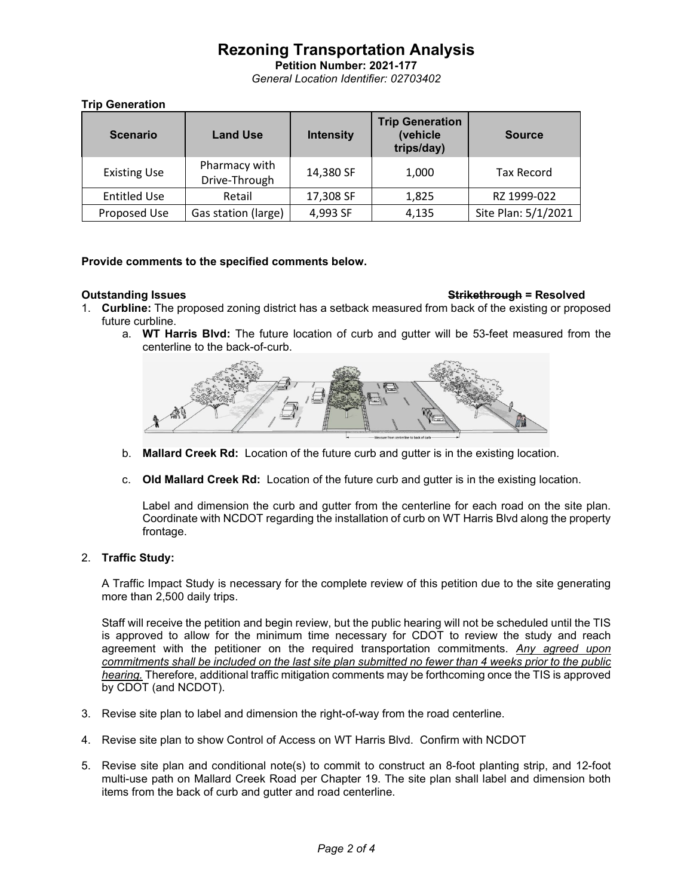**Petition Number: 2021-177** *General Location Identifier: 02703402*

## **Trip Generation**

| <b>Scenario</b>     | <b>Land Use</b>                | <b>Intensity</b> | <b>Trip Generation</b><br>(vehicle<br>trips/day) | <b>Source</b>       |
|---------------------|--------------------------------|------------------|--------------------------------------------------|---------------------|
| <b>Existing Use</b> | Pharmacy with<br>Drive-Through | 14,380 SF        | 1,000                                            | Tax Record          |
| <b>Entitled Use</b> | Retail                         | 17,308 SF        | 1,825                                            | RZ 1999-022         |
| Proposed Use        | Gas station (large)            | 4,993 SF         | 4,135                                            | Site Plan: 5/1/2021 |

## **Provide comments to the specified comments below.**

### **Outstanding Issues Strikethrough = Resolved**

- 1. **Curbline:** The proposed zoning district has a setback measured from back of the existing or proposed future curbline.
	- a. **WT Harris Blvd:** The future location of curb and gutter will be 53-feet measured from the centerline to the back-of-curb.



- b. **Mallard Creek Rd:** Location of the future curb and gutter is in the existing location.
- c. **Old Mallard Creek Rd:** Location of the future curb and gutter is in the existing location.

Label and dimension the curb and gutter from the centerline for each road on the site plan. Coordinate with NCDOT regarding the installation of curb on WT Harris Blvd along the property frontage.

## 2. **Traffic Study:**

A Traffic Impact Study is necessary for the complete review of this petition due to the site generating more than 2,500 daily trips.

Staff will receive the petition and begin review, but the public hearing will not be scheduled until the TIS is approved to allow for the minimum time necessary for CDOT to review the study and reach agreement with the petitioner on the required transportation commitments. *Any agreed upon commitments shall be included on the last site plan submitted no fewer than 4 weeks prior to the public hearing.* Therefore, additional traffic mitigation comments may be forthcoming once the TIS is approved by CDOT (and NCDOT).

- 3. Revise site plan to label and dimension the right-of-way from the road centerline.
- 4. Revise site plan to show Control of Access on WT Harris Blvd. Confirm with NCDOT
- 5. Revise site plan and conditional note(s) to commit to construct an 8-foot planting strip, and 12-foot multi-use path on Mallard Creek Road per Chapter 19. The site plan shall label and dimension both items from the back of curb and gutter and road centerline.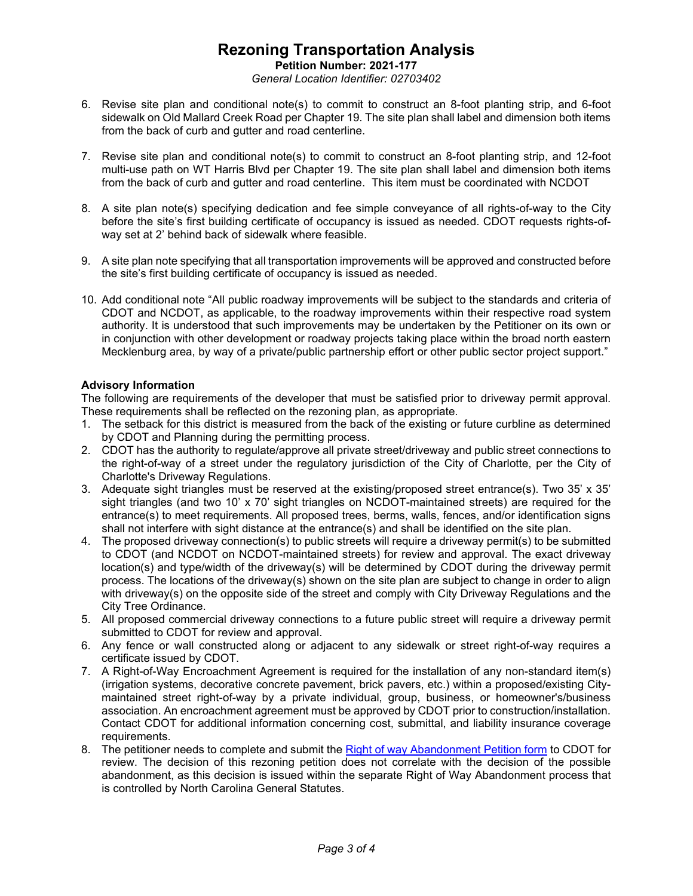**Petition Number: 2021-177** *General Location Identifier: 02703402*

- 6. Revise site plan and conditional note(s) to commit to construct an 8-foot planting strip, and 6-foot sidewalk on Old Mallard Creek Road per Chapter 19. The site plan shall label and dimension both items from the back of curb and gutter and road centerline.
- 7. Revise site plan and conditional note(s) to commit to construct an 8-foot planting strip, and 12-foot multi-use path on WT Harris Blvd per Chapter 19. The site plan shall label and dimension both items from the back of curb and gutter and road centerline. This item must be coordinated with NCDOT
- 8. A site plan note(s) specifying dedication and fee simple conveyance of all rights-of-way to the City before the site's first building certificate of occupancy is issued as needed. CDOT requests rights-ofway set at 2' behind back of sidewalk where feasible.
- 9. A site plan note specifying that all transportation improvements will be approved and constructed before the site's first building certificate of occupancy is issued as needed.
- 10. Add conditional note "All public roadway improvements will be subject to the standards and criteria of CDOT and NCDOT, as applicable, to the roadway improvements within their respective road system authority. It is understood that such improvements may be undertaken by the Petitioner on its own or in conjunction with other development or roadway projects taking place within the broad north eastern Mecklenburg area, by way of a private/public partnership effort or other public sector project support."

## **Advisory Information**

The following are requirements of the developer that must be satisfied prior to driveway permit approval. These requirements shall be reflected on the rezoning plan, as appropriate.

- 1. The setback for this district is measured from the back of the existing or future curbline as determined by CDOT and Planning during the permitting process.
- 2. CDOT has the authority to regulate/approve all private street/driveway and public street connections to the right-of-way of a street under the regulatory jurisdiction of the City of Charlotte, per the City of Charlotte's Driveway Regulations.
- 3. Adequate sight triangles must be reserved at the existing/proposed street entrance(s). Two 35' x 35' sight triangles (and two 10' x 70' sight triangles on NCDOT-maintained streets) are required for the entrance(s) to meet requirements. All proposed trees, berms, walls, fences, and/or identification signs shall not interfere with sight distance at the entrance(s) and shall be identified on the site plan.
- 4. The proposed driveway connection(s) to public streets will require a driveway permit(s) to be submitted to CDOT (and NCDOT on NCDOT-maintained streets) for review and approval. The exact driveway location(s) and type/width of the driveway(s) will be determined by CDOT during the driveway permit process. The locations of the driveway(s) shown on the site plan are subject to change in order to align with driveway(s) on the opposite side of the street and comply with City Driveway Regulations and the City Tree Ordinance.
- 5. All proposed commercial driveway connections to a future public street will require a driveway permit submitted to CDOT for review and approval.
- 6. Any fence or wall constructed along or adjacent to any sidewalk or street right-of-way requires a certificate issued by CDOT.
- 7. A Right-of-Way Encroachment Agreement is required for the installation of any non-standard item(s) (irrigation systems, decorative concrete pavement, brick pavers, etc.) within a proposed/existing Citymaintained street right-of-way by a private individual, group, business, or homeowner's/business association. An encroachment agreement must be approved by CDOT prior to construction/installation. Contact CDOT for additional information concerning cost, submittal, and liability insurance coverage requirements.
- 8. The petitioner needs to complete and submit the [Right of way Abandonment Petition form](https://charlottenc.gov/Transportation/Permits/Pages/RightofWayAbandonment.aspx) to CDOT for review. The decision of this rezoning petition does not correlate with the decision of the possible abandonment, as this decision is issued within the separate Right of Way Abandonment process that is controlled by North Carolina General Statutes.